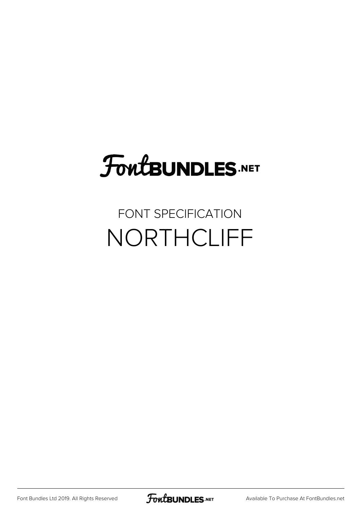# **FoutBUNDLES.NET**

## FONT SPECIFICATION NORTHCLIFF

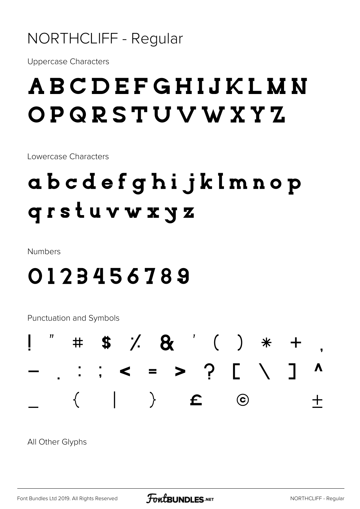### NORTHCLIFF - Regular

**Uppercase Characters** 

# ABCDEFGHIJKLMN **OPQRSTUVWXYZ**

Lowercase Characters

# abcdefghijklmnop grstuvwxyz

**Numbers** 

## 0123456789

**Punctuation and Symbols** 

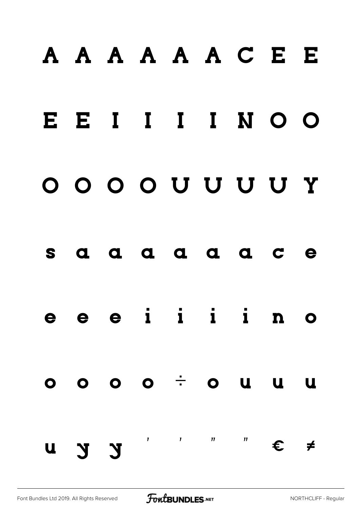### A A A A A A C E E EEIII I N O O  $O O O O U U U U$ Y  $\mathbf a$ a a a a a  $\mathbf c$   $\mathbf e$ S e e i i i i n o  $\bullet$  $0$  0 0 0  $\div$  0 U  $\mathbf u$  $\overline{\mathbf{u}}$  $\pmb{I}$  $\mathbf{I}$  $\boldsymbol{\eta}$  $\boldsymbol{\eta}$ €  $\begin{array}{cc} & \mathbf{X} & \mathbf{Z} \end{array}$ ≠  $\overline{\mathbf{u}}$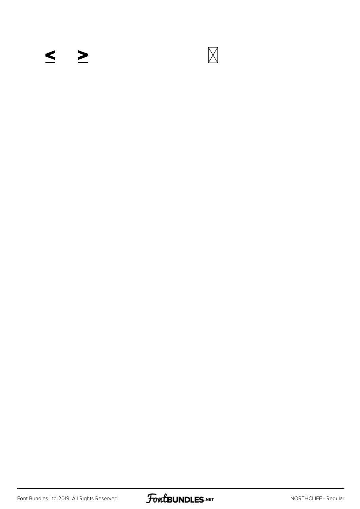## ≤ ≥

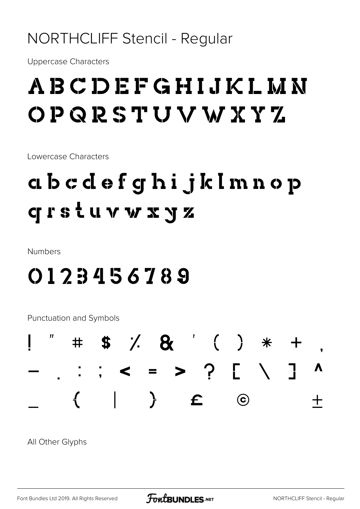#### **NORTHCLIFF Stencil - Regular**

**Uppercase Characters** 

## ABCDEFGHIJKLMN OPQRSTUVWXYZ

Lowercase Characters

# cub c d e f g h i j k l m n o p **cristuvwxyz**

Numbers

## 0123456789

**Punctuation and Symbols** 

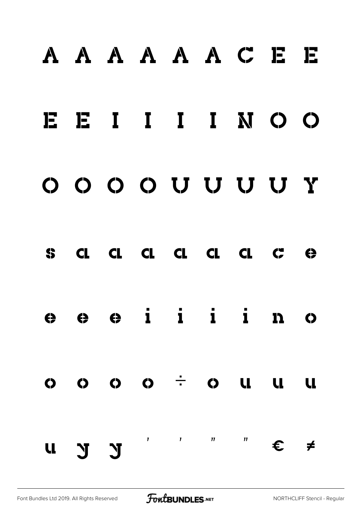### A A A A A A C E E EIIIINOO E  $0000U$ Y  $S$   $CL$ CL CL CL CL CL  $C$   $\leftrightarrow$  $e$   $e$   $e$  i i i i  $n<sub>o</sub>$  $\mathbf{u}$  $\mathbf u$  $\pmb{I}$  $\mathbf{I}$  $\boldsymbol{\eta}$  $\boldsymbol{\eta}$  $\epsilon$ ≠  $\bm{Z}$   $\bm{Z}$  $\mathbf{u}$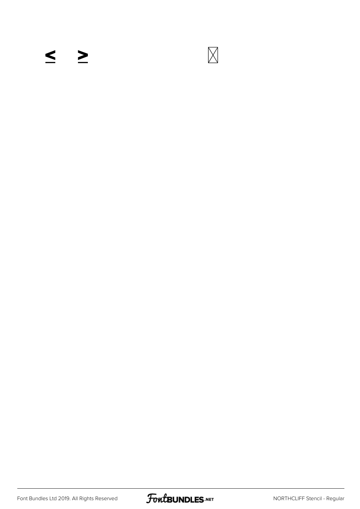## ≤ ≥

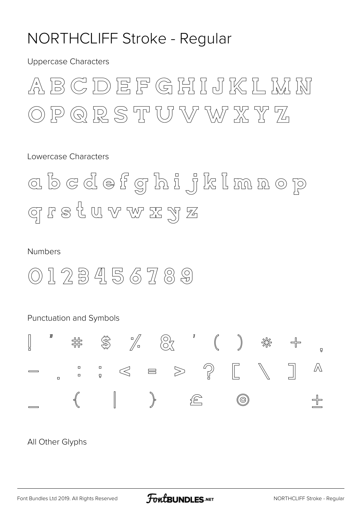#### NORTHCLIFF Stroke - Regular

**Uppercase Characters** 



Lowercase Characters

a b e d e f g h i j k l m n o p GIBS & W V W X Y Z

#### **Numbers**

 $[0]12$ BA56789

#### Punctuation and Symbols

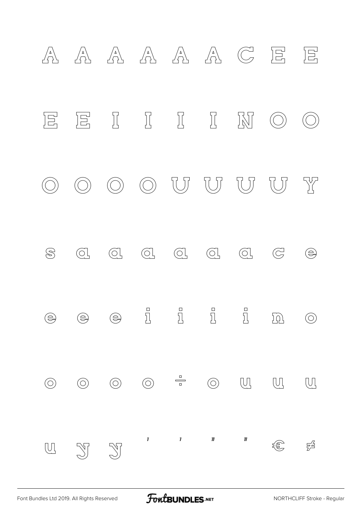

**FoutBUNDLES**.NET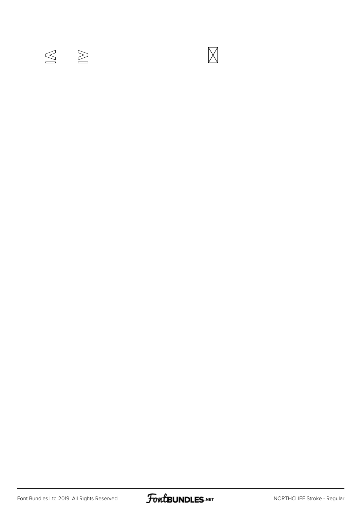



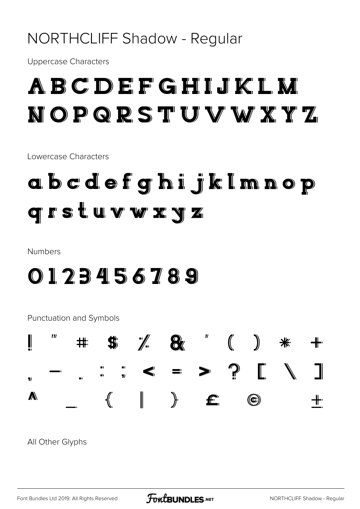#### NORTHCLIFF Shadow - Regular

**Uppercase Characters** 

# ABCDEFGHIJKLM NOPQRSTUVWXYZ

Lowercase Characters

# abcdefghijkImnop qrstuvwxyz

**Numbers** 

ļ

y)

0123456789

Punctuation and Symbols  $\mathbf{H}$  $\begin{pmatrix} 1 & 1 \\ 1 & 1 \end{pmatrix}$  $\frac{1}{2}$   $\frac{1}{2}$   $\frac{1}{2}$   $\frac{1}{2}$   $\frac{1}{2}$   $\frac{1}{2}$   $\frac{1}{2}$   $\frac{1}{2}$   $\frac{1}{2}$   $\frac{1}{2}$   $\frac{1}{2}$   $\frac{1}{2}$   $\frac{1}{2}$   $\frac{1}{2}$   $\frac{1}{2}$   $\frac{1}{2}$   $\frac{1}{2}$   $\frac{1}{2}$   $\frac{1}{2}$   $\frac{1}{2}$   $\frac{1}{2}$   $\frac{1}{2}$  ╶╊ ⋕  $\Rightarrow$  ? 町<br>リ  $\mathbb{F}$  $\overline{\phantom{a}}$  $\blacktriangle$  $\Big\}$ A  $\mathbb I$  $\left\{\rule{0pt}{12pt}\right.$ £  $\textcircled{\scriptsize{}}$ ╶╫┄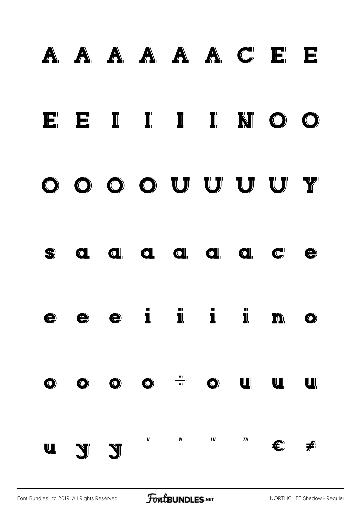